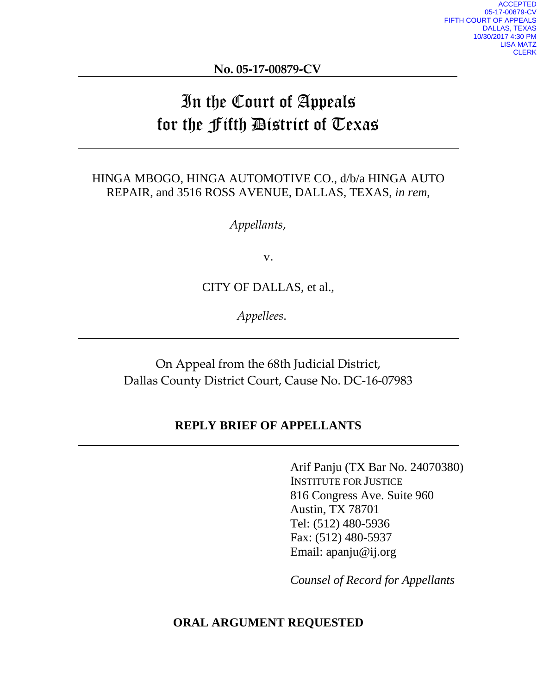**No. 05-17-00879-CV**

# In the Court of Appeals for the Fifth District of Texas

## HINGA MBOGO, HINGA AUTOMOTIVE CO., d/b/a HINGA AUTO REPAIR, and 3516 ROSS AVENUE, DALLAS, TEXAS, *in rem*,

*Appellants*,

v.

CITY OF DALLAS, et al.,

*Appellees*.

On Appeal from the 68th Judicial District, Dallas County District Court, Cause No. DC-16-07983

### **REPLY BRIEF OF APPELLANTS**

Arif Panju (TX Bar No. 24070380) INSTITUTE FOR JUSTICE 816 Congress Ave. Suite 960 Austin, TX 78701 Tel: (512) 480-5936 Fax: (512) 480-5937 Email: apanju@ij.org

*Counsel of Record for Appellants*

#### **ORAL ARGUMENT REQUESTED**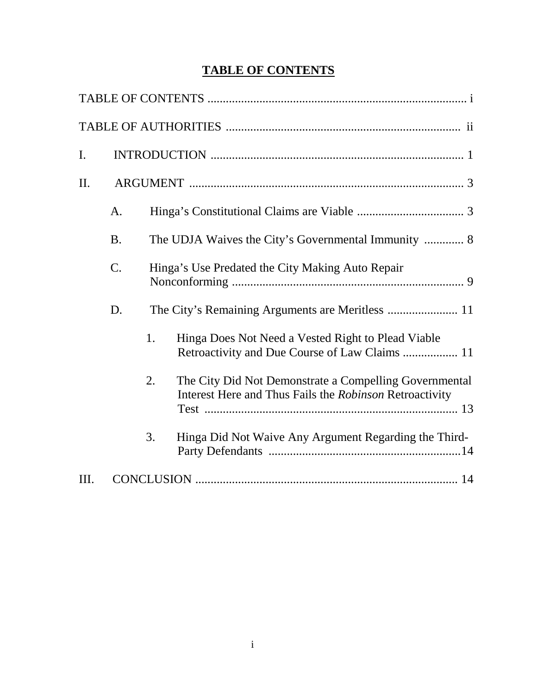## **TABLE OF CONTENTS**

| I.  |           |    |                                                                                                                   |
|-----|-----------|----|-------------------------------------------------------------------------------------------------------------------|
| II. |           |    |                                                                                                                   |
|     | A.        |    |                                                                                                                   |
|     | <b>B.</b> |    | The UDJA Waives the City's Governmental Immunity  8                                                               |
|     | C.        |    | Hinga's Use Predated the City Making Auto Repair                                                                  |
|     | D.        |    |                                                                                                                   |
|     |           | 1. | Hinga Does Not Need a Vested Right to Plead Viable<br>Retroactivity and Due Course of Law Claims  11              |
|     |           | 2. | The City Did Not Demonstrate a Compelling Governmental<br>Interest Here and Thus Fails the Robinson Retroactivity |
|     |           | 3. | Hinga Did Not Waive Any Argument Regarding the Third-                                                             |
| Ш.  |           |    |                                                                                                                   |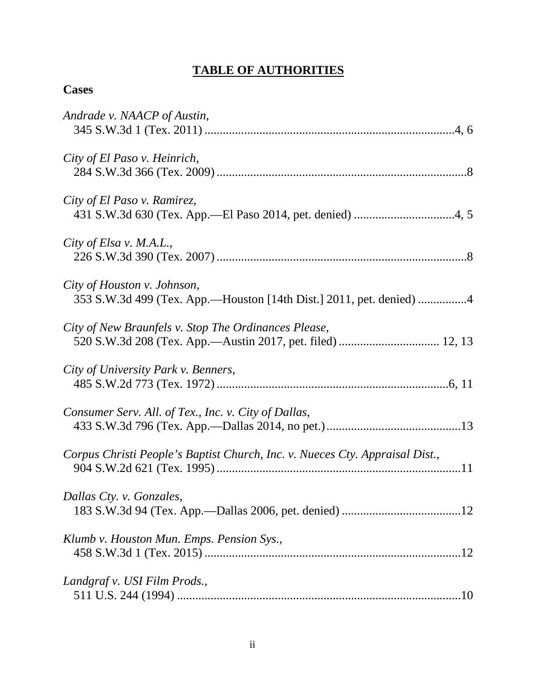## **TABLE OF AUTHORITIES**

## **Cases**

| Andrade v. NAACP of Austin,                                                                        |
|----------------------------------------------------------------------------------------------------|
| City of El Paso v. Heinrich,                                                                       |
| City of El Paso v. Ramirez,                                                                        |
| City of Elsa v. M.A.L.,                                                                            |
| City of Houston v. Johnson,<br>353 S.W.3d 499 (Tex. App.—Houston [14th Dist.] 2011, pet. denied) 4 |
| City of New Braunfels v. Stop The Ordinances Please,                                               |
| City of University Park v. Benners,                                                                |
| Consumer Serv. All. of Tex., Inc. v. City of Dallas,                                               |
| Corpus Christi People's Baptist Church, Inc. v. Nueces Cty. Appraisal Dist.,                       |
| Dallas Cty. v. Gonzales,                                                                           |
| Klumb v. Houston Mun. Emps. Pension Sys.,                                                          |
| Landgraf v. USI Film Prods.,                                                                       |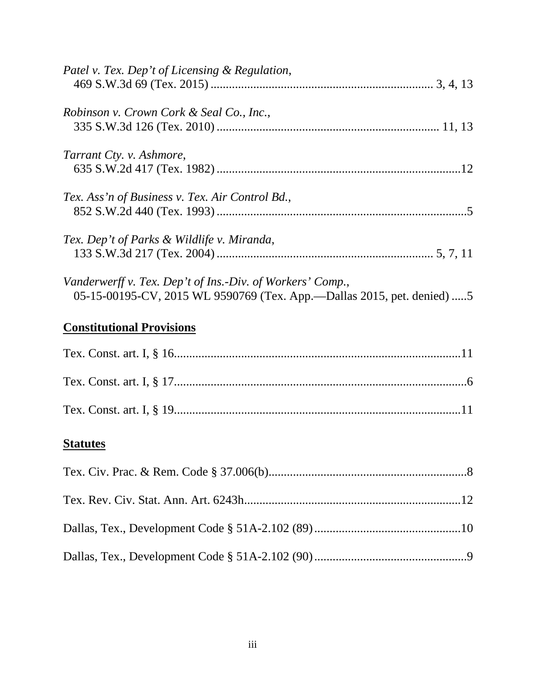| Patel v. Tex. Dep't of Licensing & Regulation,                                                                                        |  |
|---------------------------------------------------------------------------------------------------------------------------------------|--|
| Robinson v. Crown Cork & Seal Co., Inc.,                                                                                              |  |
| Tarrant Cty. v. Ashmore,                                                                                                              |  |
| Tex. Ass'n of Business v. Tex. Air Control Bd.,                                                                                       |  |
| Tex. Dep't of Parks & Wildlife v. Miranda,                                                                                            |  |
| Vanderwerff v. Tex. Dep't of Ins.-Div. of Workers' Comp.,<br>05-15-00195-CV, 2015 WL 9590769 (Tex. App.--Dallas 2015, pet. denied)  5 |  |
| <b>Constitutional Provisions</b>                                                                                                      |  |
|                                                                                                                                       |  |
|                                                                                                                                       |  |
|                                                                                                                                       |  |
| <b>Statutes</b>                                                                                                                       |  |
|                                                                                                                                       |  |
|                                                                                                                                       |  |
|                                                                                                                                       |  |
|                                                                                                                                       |  |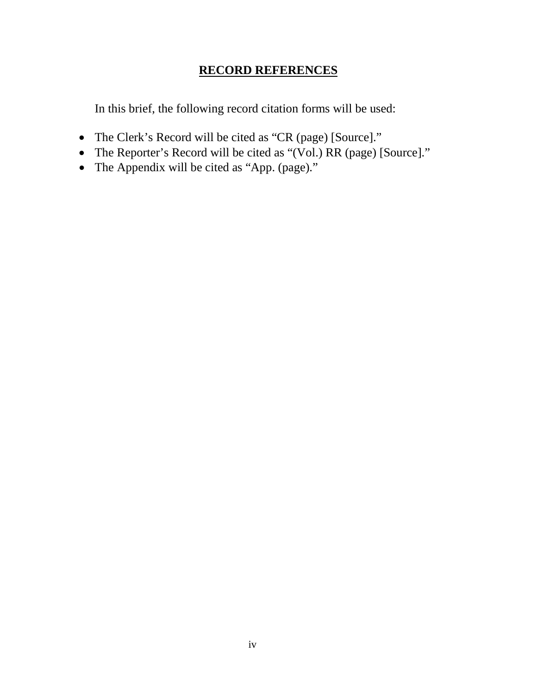## **RECORD REFERENCES**

In this brief, the following record citation forms will be used:

- The Clerk's Record will be cited as "CR (page) [Source]."
- The Reporter's Record will be cited as "(Vol.) RR (page) [Source]."
- The Appendix will be cited as "App. (page)."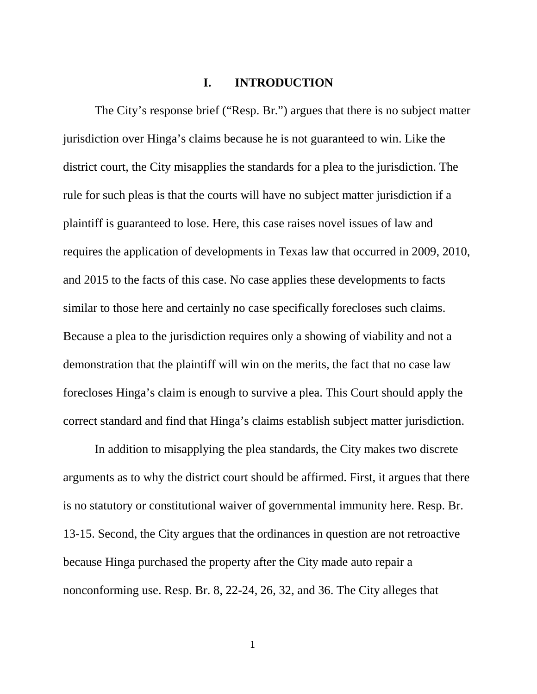#### **I. INTRODUCTION**

The City's response brief ("Resp. Br.") argues that there is no subject matter jurisdiction over Hinga's claims because he is not guaranteed to win. Like the district court, the City misapplies the standards for a plea to the jurisdiction. The rule for such pleas is that the courts will have no subject matter jurisdiction if a plaintiff is guaranteed to lose. Here, this case raises novel issues of law and requires the application of developments in Texas law that occurred in 2009, 2010, and 2015 to the facts of this case. No case applies these developments to facts similar to those here and certainly no case specifically forecloses such claims. Because a plea to the jurisdiction requires only a showing of viability and not a demonstration that the plaintiff will win on the merits, the fact that no case law forecloses Hinga's claim is enough to survive a plea. This Court should apply the correct standard and find that Hinga's claims establish subject matter jurisdiction.

In addition to misapplying the plea standards, the City makes two discrete arguments as to why the district court should be affirmed. First, it argues that there is no statutory or constitutional waiver of governmental immunity here. Resp. Br. 13-15. Second, the City argues that the ordinances in question are not retroactive because Hinga purchased the property after the City made auto repair a nonconforming use. Resp. Br. 8, 22-24, 26, 32, and 36. The City alleges that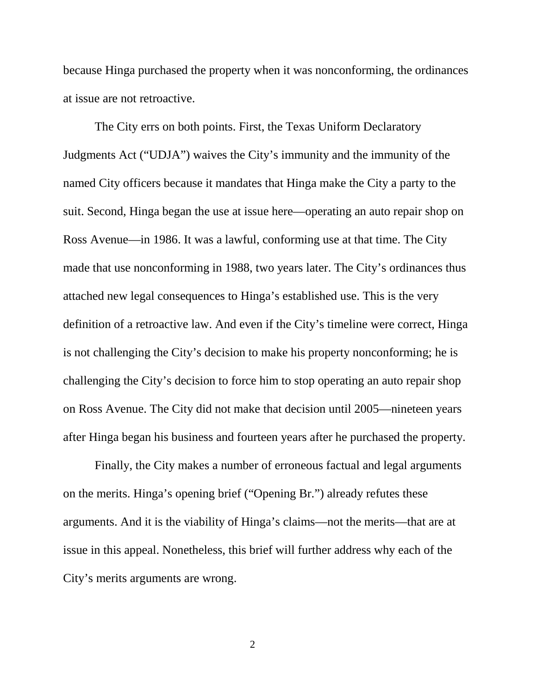because Hinga purchased the property when it was nonconforming, the ordinances at issue are not retroactive.

The City errs on both points. First, the Texas Uniform Declaratory Judgments Act ("UDJA") waives the City's immunity and the immunity of the named City officers because it mandates that Hinga make the City a party to the suit. Second, Hinga began the use at issue here—operating an auto repair shop on Ross Avenue—in 1986. It was a lawful, conforming use at that time. The City made that use nonconforming in 1988, two years later. The City's ordinances thus attached new legal consequences to Hinga's established use. This is the very definition of a retroactive law. And even if the City's timeline were correct, Hinga is not challenging the City's decision to make his property nonconforming; he is challenging the City's decision to force him to stop operating an auto repair shop on Ross Avenue. The City did not make that decision until 2005—nineteen years after Hinga began his business and fourteen years after he purchased the property.

Finally, the City makes a number of erroneous factual and legal arguments on the merits. Hinga's opening brief ("Opening Br.") already refutes these arguments. And it is the viability of Hinga's claims—not the merits—that are at issue in this appeal. Nonetheless, this brief will further address why each of the City's merits arguments are wrong.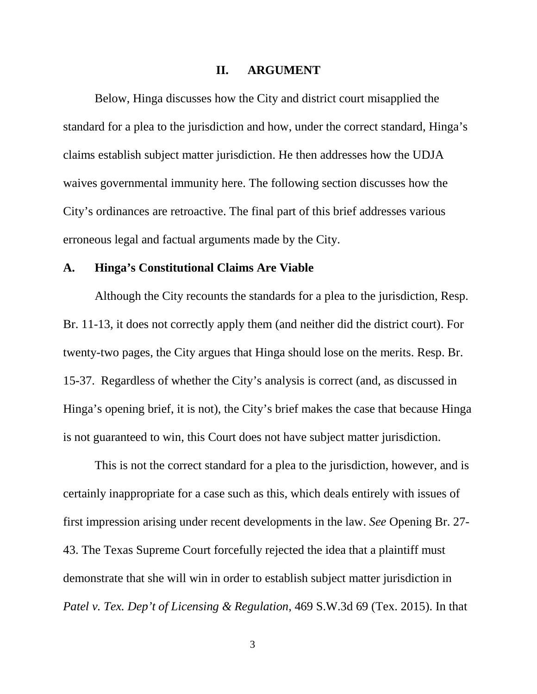#### **II. ARGUMENT**

Below, Hinga discusses how the City and district court misapplied the standard for a plea to the jurisdiction and how, under the correct standard, Hinga's claims establish subject matter jurisdiction. He then addresses how the UDJA waives governmental immunity here. The following section discusses how the City's ordinances are retroactive. The final part of this brief addresses various erroneous legal and factual arguments made by the City.

#### **A. Hinga's Constitutional Claims Are Viable**

Although the City recounts the standards for a plea to the jurisdiction, Resp. Br. 11-13, it does not correctly apply them (and neither did the district court). For twenty-two pages, the City argues that Hinga should lose on the merits. Resp. Br. 15-37. Regardless of whether the City's analysis is correct (and, as discussed in Hinga's opening brief, it is not), the City's brief makes the case that because Hinga is not guaranteed to win, this Court does not have subject matter jurisdiction.

This is not the correct standard for a plea to the jurisdiction, however, and is certainly inappropriate for a case such as this, which deals entirely with issues of first impression arising under recent developments in the law. *See* Opening Br. 27- 43. The Texas Supreme Court forcefully rejected the idea that a plaintiff must demonstrate that she will win in order to establish subject matter jurisdiction in *Patel v. Tex. Dep't of Licensing & Regulation*, 469 S.W.3d 69 (Tex. 2015). In that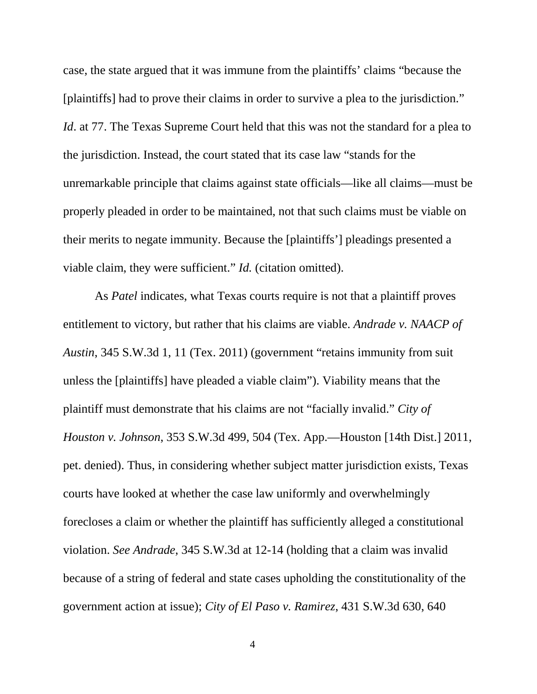case, the state argued that it was immune from the plaintiffs' claims "because the [plaintiffs] had to prove their claims in order to survive a plea to the jurisdiction." *Id*. at 77. The Texas Supreme Court held that this was not the standard for a plea to the jurisdiction. Instead, the court stated that its case law "stands for the unremarkable principle that claims against state officials—like all claims—must be properly pleaded in order to be maintained, not that such claims must be viable on their merits to negate immunity. Because the [plaintiffs'] pleadings presented a viable claim, they were sufficient." *Id.* (citation omitted).

As *Patel* indicates, what Texas courts require is not that a plaintiff proves entitlement to victory, but rather that his claims are viable. *Andrade v. NAACP of Austin*, 345 S.W.3d 1, 11 (Tex. 2011) (government "retains immunity from suit unless the [plaintiffs] have pleaded a viable claim"). Viability means that the plaintiff must demonstrate that his claims are not "facially invalid." *City of Houston v. Johnson*, 353 S.W.3d 499, 504 (Tex. App.—Houston [14th Dist.] 2011, pet. denied). Thus, in considering whether subject matter jurisdiction exists, Texas courts have looked at whether the case law uniformly and overwhelmingly forecloses a claim or whether the plaintiff has sufficiently alleged a constitutional violation. *See Andrade*, 345 S.W.3d at 12-14 (holding that a claim was invalid because of a string of federal and state cases upholding the constitutionality of the government action at issue); *City of El Paso v. Ramirez*, 431 S.W.3d 630, 640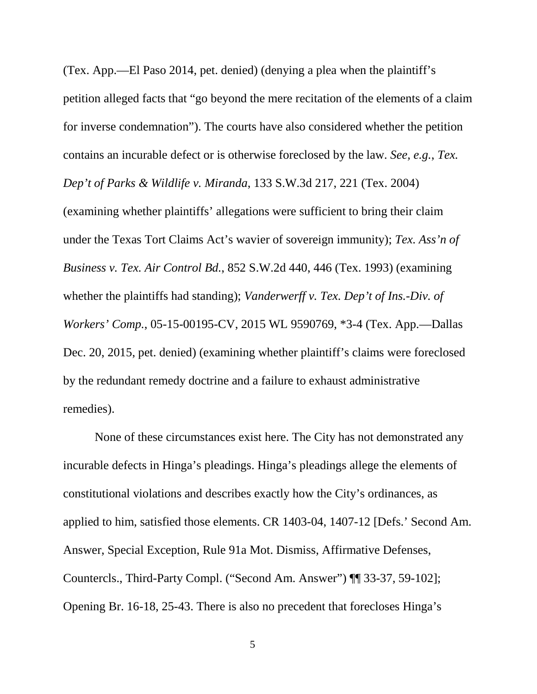(Tex. App.—El Paso 2014, pet. denied) (denying a plea when the plaintiff's petition alleged facts that "go beyond the mere recitation of the elements of a claim for inverse condemnation"). The courts have also considered whether the petition contains an incurable defect or is otherwise foreclosed by the law. *See, e.g.*, *Tex. Dep't of Parks & Wildlife v. Miranda*, 133 S.W.3d 217, 221 (Tex. 2004) (examining whether plaintiffs' allegations were sufficient to bring their claim under the Texas Tort Claims Act's wavier of sovereign immunity); *Tex. Ass'n of Business v. Tex. Air Control Bd.*, 852 S.W.2d 440, 446 (Tex. 1993) (examining whether the plaintiffs had standing); *Vanderwerff v. Tex. Dep't of Ins.-Div. of Workers' Comp.*, 05-15-00195-CV, 2015 WL 9590769, \*3-4 (Tex. App.—Dallas Dec. 20, 2015, pet. denied) (examining whether plaintiff's claims were foreclosed by the redundant remedy doctrine and a failure to exhaust administrative remedies).

None of these circumstances exist here. The City has not demonstrated any incurable defects in Hinga's pleadings. Hinga's pleadings allege the elements of constitutional violations and describes exactly how the City's ordinances, as applied to him, satisfied those elements. CR 1403-04, 1407-12 [Defs.' Second Am. Answer, Special Exception, Rule 91a Mot. Dismiss, Affirmative Defenses, Countercls., Third-Party Compl. ("Second Am. Answer") ¶¶ 33-37, 59-102]; Opening Br. 16-18, 25-43. There is also no precedent that forecloses Hinga's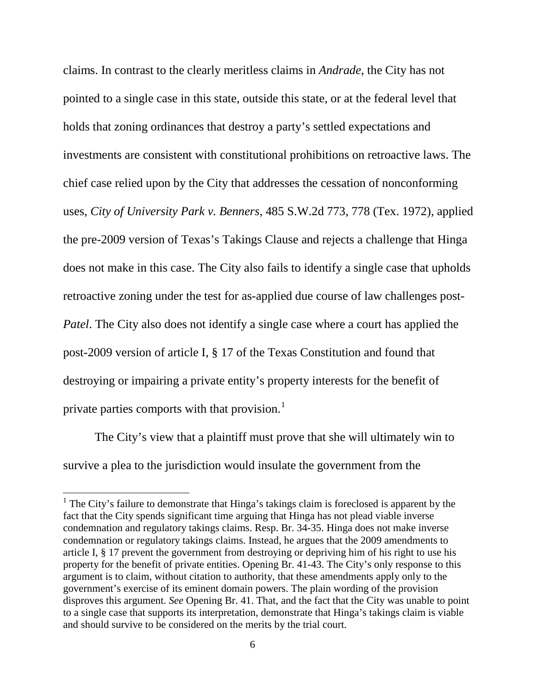claims. In contrast to the clearly meritless claims in *Andrade*, the City has not pointed to a single case in this state, outside this state, or at the federal level that holds that zoning ordinances that destroy a party's settled expectations and investments are consistent with constitutional prohibitions on retroactive laws. The chief case relied upon by the City that addresses the cessation of nonconforming uses, *City of University Park v. Benners*, 485 S.W.2d 773, 778 (Tex. 1972), applied the pre-2009 version of Texas's Takings Clause and rejects a challenge that Hinga does not make in this case. The City also fails to identify a single case that upholds retroactive zoning under the test for as-applied due course of law challenges post-*Patel*. The City also does not identify a single case where a court has applied the post-2009 version of article I, § 17 of the Texas Constitution and found that destroying or impairing a private entity's property interests for the benefit of private parties comports with that provision.<sup>[1](#page-10-0)</sup>

The City's view that a plaintiff must prove that she will ultimately win to survive a plea to the jurisdiction would insulate the government from the

<span id="page-10-0"></span> $<sup>1</sup>$  The City's failure to demonstrate that Hinga's takings claim is foreclosed is apparent by the</sup> fact that the City spends significant time arguing that Hinga has not plead viable inverse condemnation and regulatory takings claims. Resp. Br. 34-35. Hinga does not make inverse condemnation or regulatory takings claims. Instead, he argues that the 2009 amendments to article I, § 17 prevent the government from destroying or depriving him of his right to use his property for the benefit of private entities. Opening Br. 41-43. The City's only response to this argument is to claim, without citation to authority, that these amendments apply only to the government's exercise of its eminent domain powers. The plain wording of the provision disproves this argument. *See* Opening Br. 41. That, and the fact that the City was unable to point to a single case that supports its interpretation, demonstrate that Hinga's takings claim is viable and should survive to be considered on the merits by the trial court.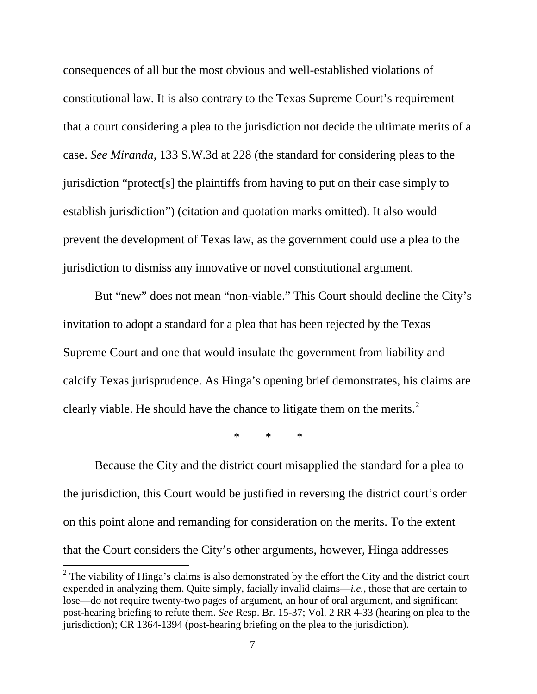consequences of all but the most obvious and well-established violations of constitutional law. It is also contrary to the Texas Supreme Court's requirement that a court considering a plea to the jurisdiction not decide the ultimate merits of a case. *See Miranda*, 133 S.W.3d at 228 (the standard for considering pleas to the jurisdiction "protect[s] the plaintiffs from having to put on their case simply to establish jurisdiction") (citation and quotation marks omitted). It also would prevent the development of Texas law, as the government could use a plea to the jurisdiction to dismiss any innovative or novel constitutional argument.

But "new" does not mean "non-viable." This Court should decline the City's invitation to adopt a standard for a plea that has been rejected by the Texas Supreme Court and one that would insulate the government from liability and calcify Texas jurisprudence. As Hinga's opening brief demonstrates, his claims are clearly viable. He should have the chance to litigate them on the merits. $<sup>2</sup>$  $<sup>2</sup>$  $<sup>2</sup>$ </sup>

\* \* \*

Because the City and the district court misapplied the standard for a plea to the jurisdiction, this Court would be justified in reversing the district court's order on this point alone and remanding for consideration on the merits. To the extent that the Court considers the City's other arguments, however, Hinga addresses

<span id="page-11-0"></span> $2^2$  The viability of Hinga's claims is also demonstrated by the effort the City and the district court expended in analyzing them. Quite simply, facially invalid claims—*i.e.*, those that are certain to lose—do not require twenty-two pages of argument, an hour of oral argument, and significant post-hearing briefing to refute them. *See* Resp. Br. 15-37; Vol. 2 RR 4-33 (hearing on plea to the jurisdiction); CR 1364-1394 (post-hearing briefing on the plea to the jurisdiction).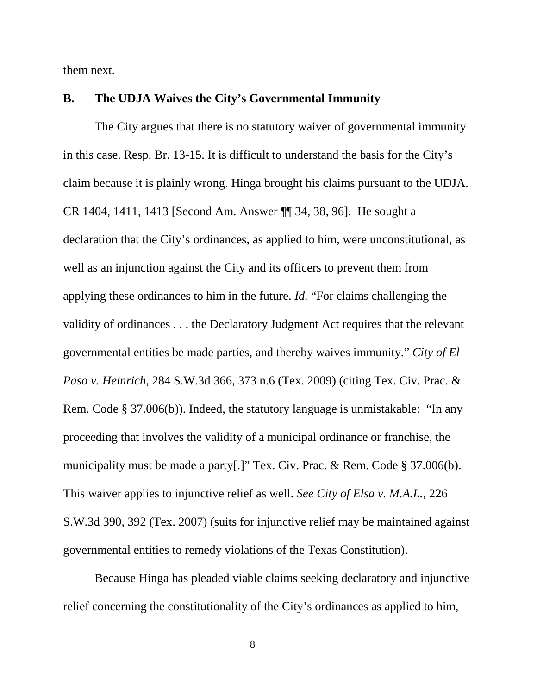them next.

#### **B. The UDJA Waives the City's Governmental Immunity**

The City argues that there is no statutory waiver of governmental immunity in this case. Resp. Br. 13-15. It is difficult to understand the basis for the City's claim because it is plainly wrong. Hinga brought his claims pursuant to the UDJA. CR 1404, 1411, 1413 [Second Am. Answer ¶¶ 34, 38, 96]. He sought a declaration that the City's ordinances, as applied to him, were unconstitutional, as well as an injunction against the City and its officers to prevent them from applying these ordinances to him in the future. *Id.* "For claims challenging the validity of ordinances . . . the Declaratory Judgment Act requires that the relevant governmental entities be made parties, and thereby waives immunity." *City of El Paso v. Heinrich*, 284 S.W.3d 366, 373 n.6 (Tex. 2009) (citing Tex. Civ. Prac. & Rem. Code § 37.006(b)). Indeed, the statutory language is unmistakable: "In any proceeding that involves the validity of a municipal ordinance or franchise, the municipality must be made a party[.]" Tex. Civ. Prac. & Rem. Code § 37.006(b). This waiver applies to injunctive relief as well. *See City of Elsa v. M.A.L.*, 226 S.W.3d 390, 392 (Tex. 2007) (suits for injunctive relief may be maintained against governmental entities to remedy violations of the Texas Constitution).

Because Hinga has pleaded viable claims seeking declaratory and injunctive relief concerning the constitutionality of the City's ordinances as applied to him,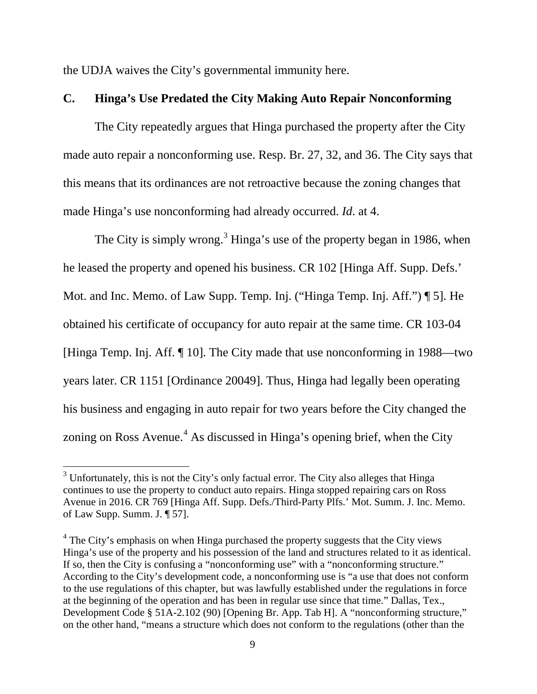the UDJA waives the City's governmental immunity here.

#### **C. Hinga's Use Predated the City Making Auto Repair Nonconforming**

The City repeatedly argues that Hinga purchased the property after the City made auto repair a nonconforming use. Resp. Br. 27, 32, and 36. The City says that this means that its ordinances are not retroactive because the zoning changes that made Hinga's use nonconforming had already occurred. *Id*. at 4.

The City is simply wrong.<sup>[3](#page-13-0)</sup> Hinga's use of the property began in 1986, when he leased the property and opened his business. CR 102 [Hinga Aff. Supp. Defs.' Mot. and Inc. Memo. of Law Supp. Temp. Inj. ("Hinga Temp. Inj. Aff.") ¶ 5]. He obtained his certificate of occupancy for auto repair at the same time. CR 103-04 [Hinga Temp. Inj. Aff. ¶ 10]. The City made that use nonconforming in 1988—two years later. CR 1151 [Ordinance 20049]. Thus, Hinga had legally been operating his business and engaging in auto repair for two years before the City changed the zoning on Ross Avenue.<sup>[4](#page-13-1)</sup> As discussed in Hinga's opening brief, when the City

<span id="page-13-0"></span> $3$  Unfortunately, this is not the City's only factual error. The City also alleges that Hinga continues to use the property to conduct auto repairs. Hinga stopped repairing cars on Ross Avenue in 2016. CR 769 [Hinga Aff. Supp. Defs./Third-Party Plfs.' Mot. Summ. J. Inc. Memo. of Law Supp. Summ. J. ¶ 57].

<span id="page-13-1"></span> $4$  The City's emphasis on when Hinga purchased the property suggests that the City views Hinga's use of the property and his possession of the land and structures related to it as identical. If so, then the City is confusing a "nonconforming use" with a "nonconforming structure." According to the City's development code, a nonconforming use is "a use that does not conform to the use regulations of this chapter, but was lawfully established under the regulations in force at the beginning of the operation and has been in regular use since that time." Dallas, Tex., Development Code § 51A-2.102 (90) [Opening Br. App. Tab H]. A "nonconforming structure," on the other hand, "means a structure which does not conform to the regulations (other than the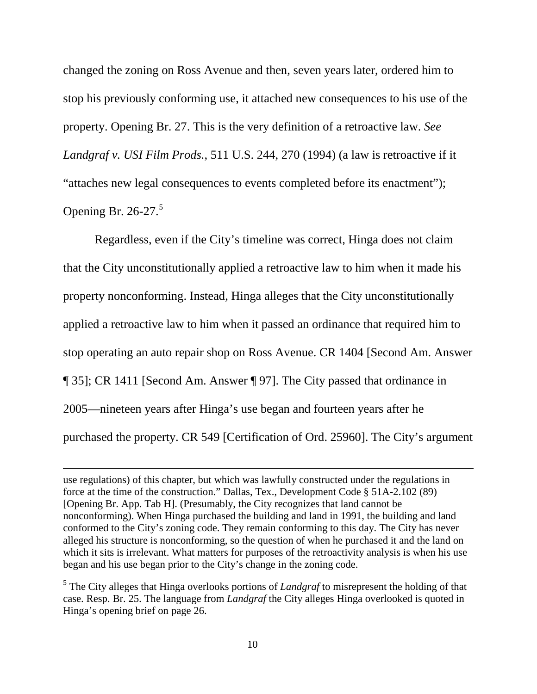changed the zoning on Ross Avenue and then, seven years later, ordered him to stop his previously conforming use, it attached new consequences to his use of the property. Opening Br. 27. This is the very definition of a retroactive law. *See Landgraf v. USI Film Prods.*, 511 U.S. 244, 270 (1994) (a law is retroactive if it "attaches new legal consequences to events completed before its enactment"); Opening Br. 26-27.<sup>[5](#page-14-0)</sup>

Regardless, even if the City's timeline was correct, Hinga does not claim that the City unconstitutionally applied a retroactive law to him when it made his property nonconforming. Instead, Hinga alleges that the City unconstitutionally applied a retroactive law to him when it passed an ordinance that required him to stop operating an auto repair shop on Ross Avenue. CR 1404 [Second Am. Answer ¶ 35]; CR 1411 [Second Am. Answer ¶ 97]. The City passed that ordinance in 2005—nineteen years after Hinga's use began and fourteen years after he purchased the property. CR 549 [Certification of Ord. 25960]. The City's argument

 $\overline{a}$ 

use regulations) of this chapter, but which was lawfully constructed under the regulations in force at the time of the construction." Dallas, Tex., Development Code § 51A-2.102 (89) [Opening Br. App. Tab H]. (Presumably, the City recognizes that land cannot be nonconforming). When Hinga purchased the building and land in 1991, the building and land conformed to the City's zoning code. They remain conforming to this day. The City has never alleged his structure is nonconforming, so the question of when he purchased it and the land on which it sits is irrelevant. What matters for purposes of the retroactivity analysis is when his use began and his use began prior to the City's change in the zoning code.

<span id="page-14-0"></span><sup>5</sup> The City alleges that Hinga overlooks portions of *Landgraf* to misrepresent the holding of that case. Resp. Br. 25. The language from *Landgraf* the City alleges Hinga overlooked is quoted in Hinga's opening brief on page 26.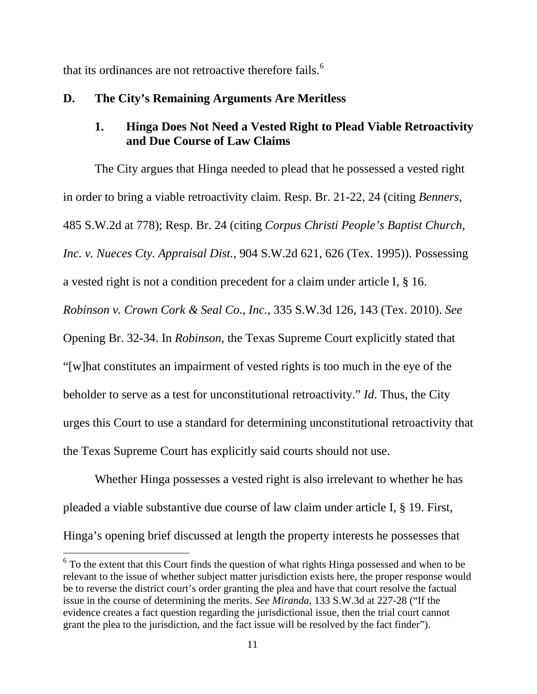that its ordinances are not retroactive therefore fails.<sup>[6](#page-15-0)</sup>

### **D. The City's Remaining Arguments Are Meritless**

## **1. Hinga Does Not Need a Vested Right to Plead Viable Retroactivity and Due Course of Law Claims**

The City argues that Hinga needed to plead that he possessed a vested right in order to bring a viable retroactivity claim. Resp. Br. 21-22, 24 (citing *Benners*, 485 S.W.2d at 778); Resp. Br. 24 (citing *Corpus Christi People's Baptist Church, Inc. v. Nueces Cty. Appraisal Dist.*, 904 S.W.2d 621, 626 (Tex. 1995)). Possessing a vested right is not a condition precedent for a claim under article I, § 16. *Robinson v. Crown Cork & Seal Co., Inc.*, 335 S.W.3d 126, 143 (Tex. 2010). *See*  Opening Br. 32-34. In *Robinson*, the Texas Supreme Court explicitly stated that "[w]hat constitutes an impairment of vested rights is too much in the eye of the beholder to serve as a test for unconstitutional retroactivity." *Id*. Thus, the City urges this Court to use a standard for determining unconstitutional retroactivity that the Texas Supreme Court has explicitly said courts should not use.

Whether Hinga possesses a vested right is also irrelevant to whether he has pleaded a viable substantive due course of law claim under article I, § 19. First, Hinga's opening brief discussed at length the property interests he possesses that

<span id="page-15-0"></span> $6$  To the extent that this Court finds the question of what rights Hinga possessed and when to be relevant to the issue of whether subject matter jurisdiction exists here, the proper response would be to reverse the district court's order granting the plea and have that court resolve the factual issue in the course of determining the merits. *See Miranda*, 133 S.W.3d at 227-28 ("If the evidence creates a fact question regarding the jurisdictional issue, then the trial court cannot grant the plea to the jurisdiction, and the fact issue will be resolved by the fact finder").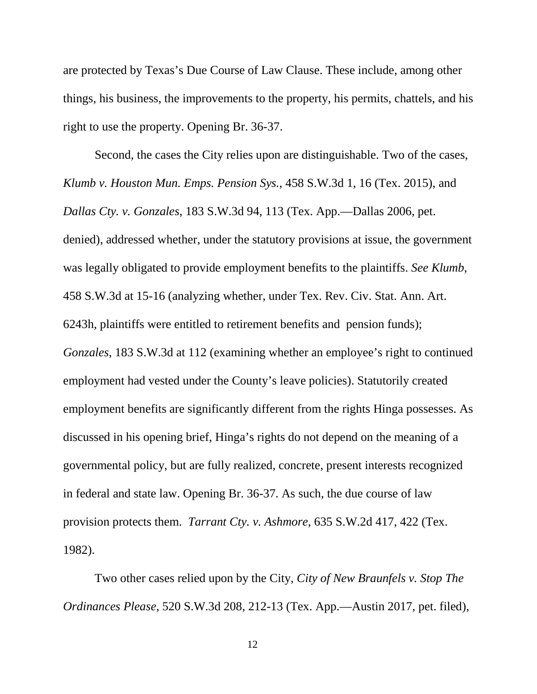are protected by Texas's Due Course of Law Clause. These include, among other things, his business, the improvements to the property, his permits, chattels, and his right to use the property. Opening Br. 36-37.

Second, the cases the City relies upon are distinguishable. Two of the cases, *Klumb v. Houston Mun. Emps. Pension Sys.*, 458 S.W.3d 1, 16 (Tex. 2015), and *Dallas Cty. v. Gonzales*, 183 S.W.3d 94, 113 (Tex. App.—Dallas 2006, pet. denied), addressed whether, under the statutory provisions at issue, the government was legally obligated to provide employment benefits to the plaintiffs. *See Klumb*, 458 S.W.3d at 15-16 (analyzing whether, under Tex. Rev. Civ. Stat. Ann. Art. 6243h, plaintiffs were entitled to retirement benefits and pension funds); *Gonzales*, 183 S.W.3d at 112 (examining whether an employee's right to continued employment had vested under the County's leave policies). Statutorily created employment benefits are significantly different from the rights Hinga possesses. As discussed in his opening brief, Hinga's rights do not depend on the meaning of a governmental policy, but are fully realized, concrete, present interests recognized in federal and state law. Opening Br. 36-37. As such, the due course of law provision protects them. *Tarrant Cty. v. Ashmore*, 635 S.W.2d 417, 422 (Tex. 1982).

Two other cases relied upon by the City, *City of New Braunfels v. Stop The Ordinances Please*, 520 S.W.3d 208, 212-13 (Tex. App.—Austin 2017, pet. filed),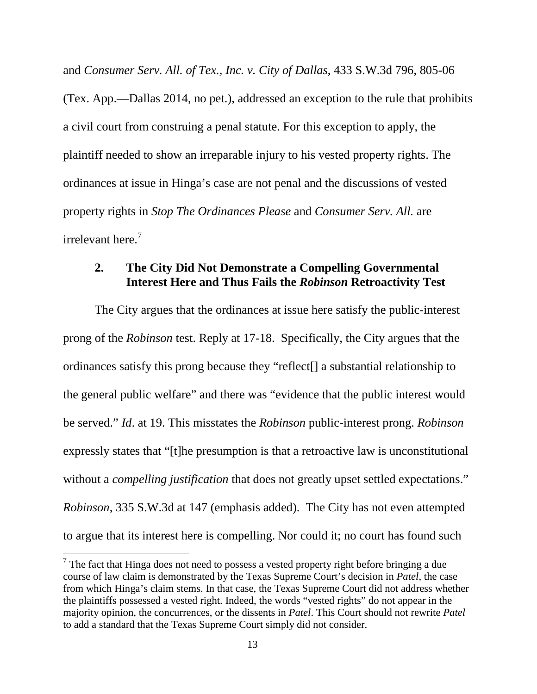and *Consumer Serv. All. of Tex., Inc. v. City of Dallas*, 433 S.W.3d 796, 805-06 (Tex. App.—Dallas 2014, no pet.), addressed an exception to the rule that prohibits a civil court from construing a penal statute. For this exception to apply, the plaintiff needed to show an irreparable injury to his vested property rights. The ordinances at issue in Hinga's case are not penal and the discussions of vested property rights in *Stop The Ordinances Please* and *Consumer Serv. All.* are irrelevant here. $<sup>7</sup>$  $<sup>7</sup>$  $<sup>7</sup>$ </sup>

#### **2. The City Did Not Demonstrate a Compelling Governmental Interest Here and Thus Fails the** *Robinson* **Retroactivity Test**

The City argues that the ordinances at issue here satisfy the public-interest prong of the *Robinson* test. Reply at 17-18. Specifically, the City argues that the ordinances satisfy this prong because they "reflect[] a substantial relationship to the general public welfare" and there was "evidence that the public interest would be served." *Id*. at 19. This misstates the *Robinson* public-interest prong. *Robinson* expressly states that "[t]he presumption is that a retroactive law is unconstitutional without a *compelling justification* that does not greatly upset settled expectations." *Robinson*, 335 S.W.3d at 147 (emphasis added). The City has not even attempted to argue that its interest here is compelling. Nor could it; no court has found such

<span id="page-17-0"></span> $<sup>7</sup>$  The fact that Hinga does not need to possess a vested property right before bringing a due</sup> course of law claim is demonstrated by the Texas Supreme Court's decision in *Patel*, the case from which Hinga's claim stems. In that case, the Texas Supreme Court did not address whether the plaintiffs possessed a vested right. Indeed, the words "vested rights" do not appear in the majority opinion, the concurrences, or the dissents in *Patel*. This Court should not rewrite *Patel* to add a standard that the Texas Supreme Court simply did not consider.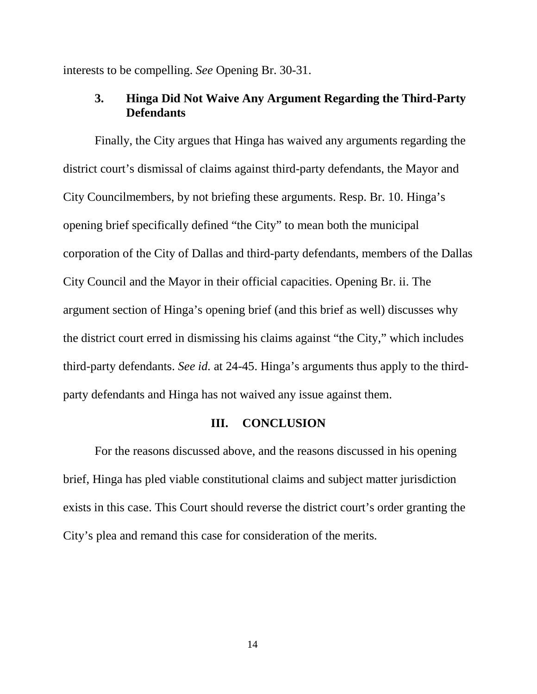interests to be compelling. *See* Opening Br. 30-31.

#### **3. Hinga Did Not Waive Any Argument Regarding the Third-Party Defendants**

Finally, the City argues that Hinga has waived any arguments regarding the district court's dismissal of claims against third-party defendants, the Mayor and City Councilmembers, by not briefing these arguments. Resp. Br. 10. Hinga's opening brief specifically defined "the City" to mean both the municipal corporation of the City of Dallas and third-party defendants, members of the Dallas City Council and the Mayor in their official capacities. Opening Br. ii. The argument section of Hinga's opening brief (and this brief as well) discusses why the district court erred in dismissing his claims against "the City," which includes third-party defendants. *See id.* at 24-45. Hinga's arguments thus apply to the thirdparty defendants and Hinga has not waived any issue against them.

#### **III. CONCLUSION**

For the reasons discussed above, and the reasons discussed in his opening brief, Hinga has pled viable constitutional claims and subject matter jurisdiction exists in this case. This Court should reverse the district court's order granting the City's plea and remand this case for consideration of the merits.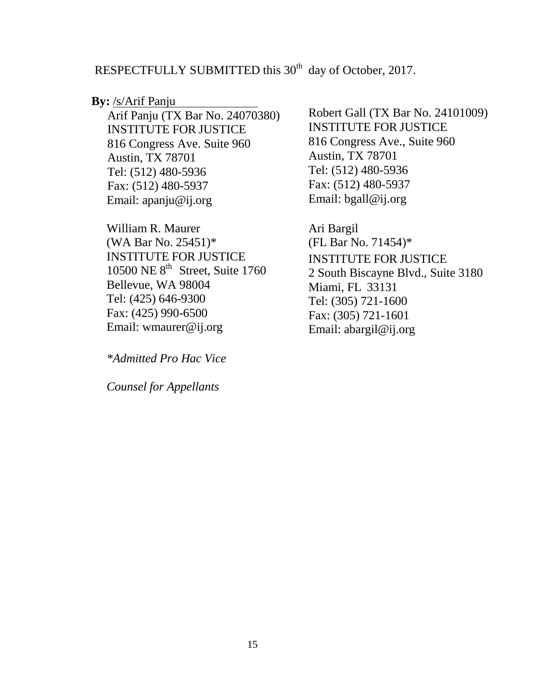## RESPECTFULLY SUBMITTED this 30<sup>th</sup> day of October, 2017.

#### **By:** /s/Arif Panju

Arif Panju (TX Bar No. 24070380) INSTITUTE FOR JUSTICE 816 Congress Ave. Suite 960 Austin, TX 78701 Tel: (512) 480-5936 Fax: (512) 480-5937 Email: [apanju@ij.org](mailto:apanju@ij.org)

William R. Maurer (WA Bar No. 25451)\* INSTITUTE FOR JUSTICE 10500 NE 8<sup>th</sup> Street, Suite 1760 Bellevue, WA 98004 Tel: (425) 646-9300 Fax: (425) 990-6500 Email: [wmaurer@ij.org](mailto:wmaurer@ij.org)

*\*Admitted Pro Hac Vice*

*Counsel for Appellants*

Robert Gall (TX Bar No. 24101009) INSTITUTE FOR JUSTICE 816 Congress Ave., Suite 960 Austin, TX 78701 Tel: (512) 480-5936 Fax: (512) 480-5937 Email: bgall@ij.org

Ari Bargil (FL Bar No. 71454)\* INSTITUTE FOR JUSTICE 2 South Biscayne Blvd., Suite 3180 Miami, FL 33131 Tel: (305) 721-1600 Fax: (305) 721-1601 Email: [abargil@ij.org](mailto:abargil@ij.org)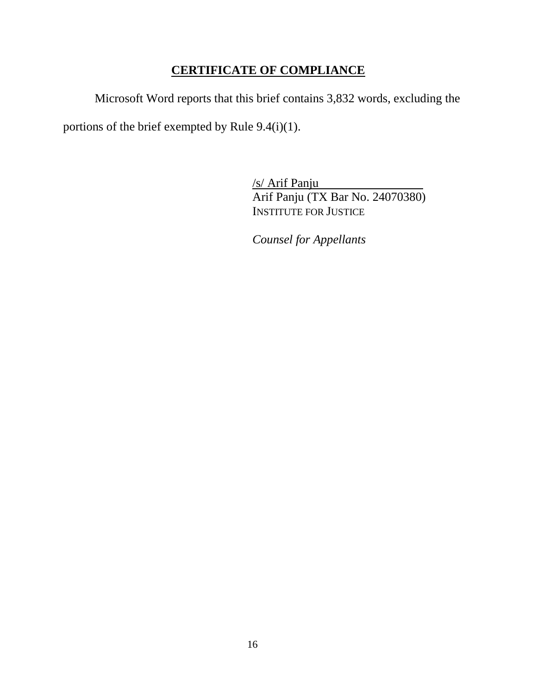## **CERTIFICATE OF COMPLIANCE**

Microsoft Word reports that this brief contains 3,832 words, excluding the

portions of the brief exempted by Rule 9.4(i)(1).

/s/ Arif Panju . Arif Panju (TX Bar No. 24070380) INSTITUTE FOR JUSTICE

*Counsel for Appellants*